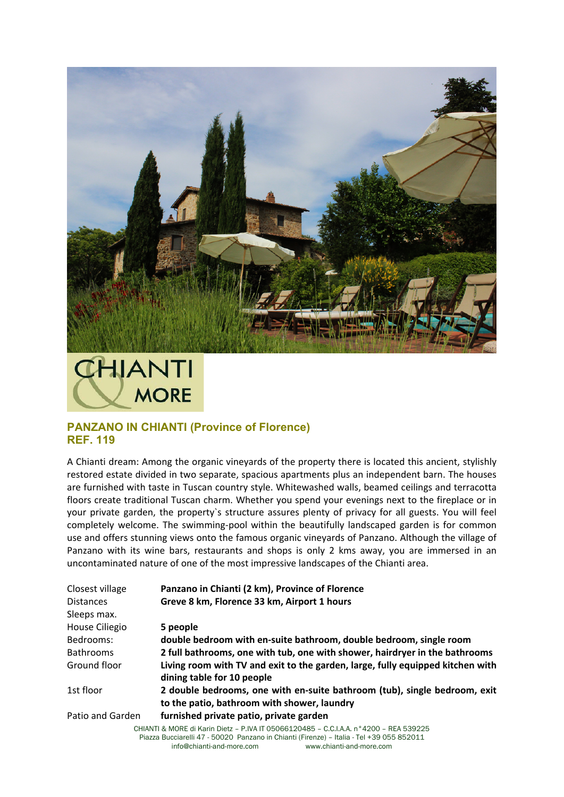

## **CHIANTI MORE**

## **PANZANO IN CHIANTI (Province of Florence) REF. 119**

A Chianti dream: Among the organic vineyards of the property there is located this ancient, stylishly restored estate divided in two separate, spacious apartments plus an independent barn. The houses are furnished with taste in Tuscan country style. Whitewashed walls, beamed ceilings and terracotta floors create traditional Tuscan charm. Whether you spend your evenings next to the fireplace or in your private garden, the property's structure assures plenty of privacy for all guests. You will feel completely welcome. The swimming-pool within the beautifully landscaped garden is for common use and offers stunning views onto the famous organic vineyards of Panzano. Although the village of Panzano with its wine bars, restaurants and shops is only 2 kms away, you are immersed in an uncontaminated nature of one of the most impressive landscapes of the Chianti area.

| Closest village  | Panzano in Chianti (2 km), Province of Florence                                       |
|------------------|---------------------------------------------------------------------------------------|
| <b>Distances</b> | Greve 8 km, Florence 33 km, Airport 1 hours                                           |
| Sleeps max.      |                                                                                       |
| House Ciliegio   | 5 people                                                                              |
| Bedrooms:        | double bedroom with en-suite bathroom, double bedroom, single room                    |
| <b>Bathrooms</b> | 2 full bathrooms, one with tub, one with shower, hairdryer in the bathrooms           |
| Ground floor     | Living room with TV and exit to the garden, large, fully equipped kitchen with        |
|                  | dining table for 10 people                                                            |
| 1st floor        | 2 double bedrooms, one with en-suite bathroom (tub), single bedroom, exit             |
|                  | to the patio, bathroom with shower, laundry                                           |
| Patio and Garden | furnished private patio, private garden                                               |
|                  | CHIANTI & MORE di Karin Dietz - P.IVA IT 05066120485 - C.C.I.A.A. n°4200 - REA 539225 |

CHIANTI & MORE di Karin Dietz – P.IVA IT 05066120485 – C.C.I.A.A. n°4200 – REA 539225 Piazza Bucciarelli 47 - 50020 Panzano in Chianti (Firenze) – Italia - Tel +39 055 852011 info@chianti-and-more.com www.chianti-and-more.com